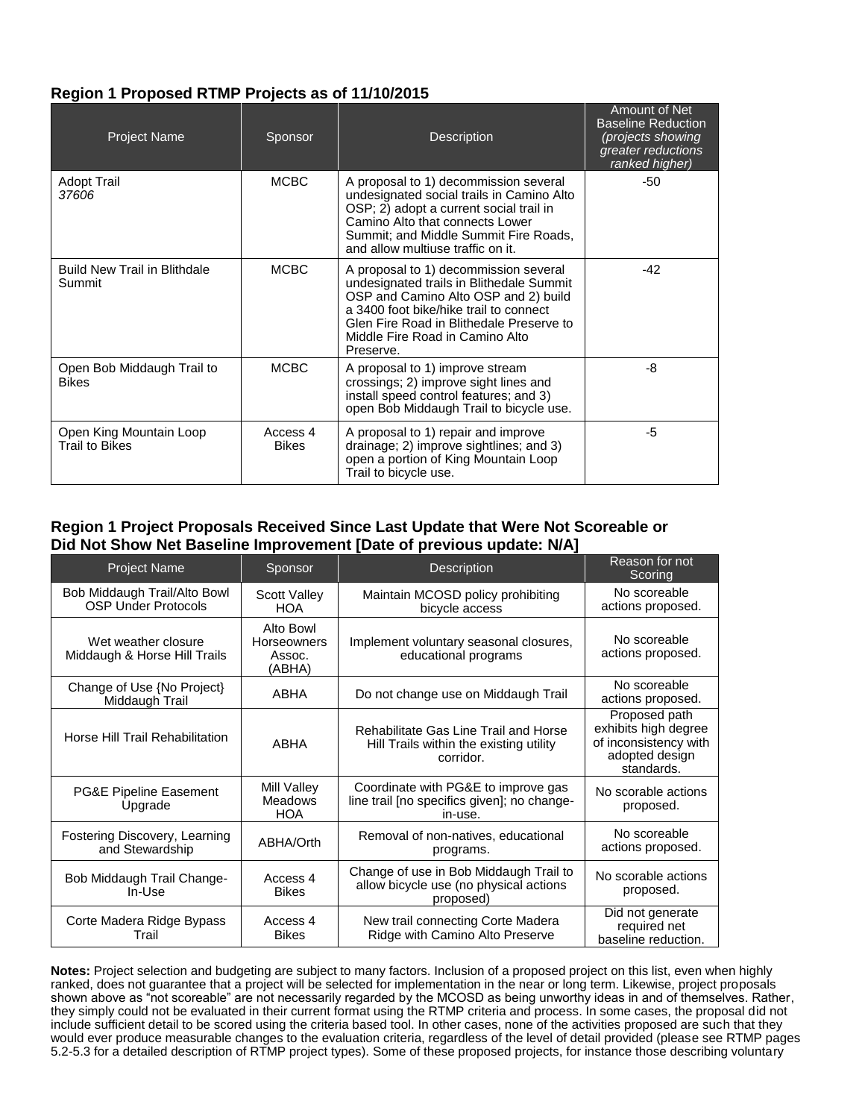## **Region 1 Proposed RTMP Projects as of 11/10/2015**

| <b>Project Name</b>                              | Sponsor                  | <b>Description</b>                                                                                                                                                                                                                                              | Amount of Net<br><b>Baseline Reduction</b><br>(projects showing<br>greater reductions<br>ranked higher) |
|--------------------------------------------------|--------------------------|-----------------------------------------------------------------------------------------------------------------------------------------------------------------------------------------------------------------------------------------------------------------|---------------------------------------------------------------------------------------------------------|
| <b>Adopt Trail</b><br>37606                      | <b>MCBC</b>              | A proposal to 1) decommission several<br>undesignated social trails in Camino Alto<br>OSP; 2) adopt a current social trail in<br>Camino Alto that connects Lower<br>Summit; and Middle Summit Fire Roads,<br>and allow multiuse traffic on it.                  | -50                                                                                                     |
| <b>Build New Trail in Blithdale</b><br>Summit    | <b>MCBC</b>              | A proposal to 1) decommission several<br>undesignated trails in Blithedale Summit<br>OSP and Camino Alto OSP and 2) build<br>a 3400 foot bike/hike trail to connect<br>Glen Fire Road in Blithedale Preserve to<br>Middle Fire Road in Camino Alto<br>Preserve. | $-42$                                                                                                   |
| Open Bob Middaugh Trail to<br><b>Bikes</b>       | <b>MCBC</b>              | A proposal to 1) improve stream<br>crossings; 2) improve sight lines and<br>install speed control features; and 3)<br>open Bob Middaugh Trail to bicycle use.                                                                                                   | -8                                                                                                      |
| Open King Mountain Loop<br><b>Trail to Bikes</b> | Access 4<br><b>Bikes</b> | A proposal to 1) repair and improve<br>drainage; 2) improve sightlines; and 3)<br>open a portion of King Mountain Loop<br>Trail to bicycle use.                                                                                                                 | -5                                                                                                      |

## **Region 1 Project Proposals Received Since Last Update that Were Not Scoreable or Did Not Show Net Baseline Improvement [Date of previous update: N/A]**

| <b>Project Name</b>                                        | Sponsor                                      | <b>Description</b>                                                                            | Reason for not<br>Scoring                                                                      |
|------------------------------------------------------------|----------------------------------------------|-----------------------------------------------------------------------------------------------|------------------------------------------------------------------------------------------------|
| Bob Middaugh Trail/Alto Bowl<br><b>OSP Under Protocols</b> | <b>Scott Valley</b><br><b>HOA</b>            | Maintain MCOSD policy prohibiting<br>bicycle access                                           | No scoreable<br>actions proposed.                                                              |
| Wet weather closure<br>Middaugh & Horse Hill Trails        | Alto Bowl<br>Horseowners<br>Assoc.<br>(ABHA) | Implement voluntary seasonal closures,<br>educational programs                                | No scoreable<br>actions proposed.                                                              |
| Change of Use {No Project}<br>Middaugh Trail               | ABHA                                         | Do not change use on Middaugh Trail                                                           | No scoreable<br>actions proposed.                                                              |
| Horse Hill Trail Rehabilitation                            | <b>ABHA</b>                                  | Rehabilitate Gas Line Trail and Horse<br>Hill Trails within the existing utility<br>corridor. | Proposed path<br>exhibits high degree<br>of inconsistency with<br>adopted design<br>standards. |
| <b>PG&amp;E Pipeline Easement</b><br>Upgrade               | Mill Valley<br><b>Meadows</b><br><b>HOA</b>  | Coordinate with PG&E to improve gas<br>line trail [no specifics given]; no change-<br>in-use. | No scorable actions<br>proposed.                                                               |
| Fostering Discovery, Learning<br>and Stewardship           | ABHA/Orth                                    | Removal of non-natives, educational<br>programs.                                              | No scoreable<br>actions proposed.                                                              |
| Bob Middaugh Trail Change-<br>$In-Use$                     | Access 4<br><b>Bikes</b>                     | Change of use in Bob Middaugh Trail to<br>allow bicycle use (no physical actions<br>proposed) | No scorable actions<br>proposed.                                                               |
| Corte Madera Ridge Bypass<br>Trail                         | Access 4<br><b>Bikes</b>                     | New trail connecting Corte Madera<br>Ridge with Camino Alto Preserve                          | Did not generate<br>required net<br>baseline reduction.                                        |

 5.2-5.3 for a detailed description of RTMP project types). Some of these proposed projects, for instance those describing voluntary **Notes:** Project selection and budgeting are subject to many factors. Inclusion of a proposed project on this list, even when highly ranked, does not guarantee that a project will be selected for implementation in the near or long term. Likewise, project proposals shown above as "not scoreable" are not necessarily regarded by the MCOSD as being unworthy ideas in and of themselves. Rather, they simply could not be evaluated in their current format using the RTMP criteria and process. In some cases, the proposal did not include sufficient detail to be scored using the criteria based tool. In other cases, none of the activities proposed are such that they would ever produce measurable changes to the evaluation criteria, regardless of the level of detail provided (please see RTMP pages